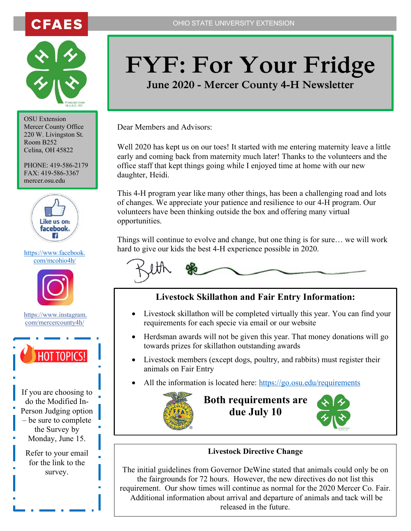



OSU Extension Mercer County Office 220 W. Livingston St. Room B252 Celina, OH 45822

PHONE: 419-586-2179 FAX: 419-586-3367 mercer.osu.edu



# [com/mcohio4h/](https://www.facebook.com/mcohio4h/)



[https://www.instagram.](https://www.instagram.com/mercercounty4h/?fbclid=IwAR0tRdRYN3OquZnl9eiGDSPMnzd2hqXMgZsYoMi4DT49FYe0Js-CUjY8Qbo) [com/mercercounty4h/](https://www.instagram.com/mercercounty4h/?fbclid=IwAR0tRdRYN3OquZnl9eiGDSPMnzd2hqXMgZsYoMi4DT49FYe0Js-CUjY8Qbo)



If you are choosing to do the Modified In-Person Judging option – be sure to complete the Survey by Monday, June 15.

Refer to your email for the link to the survey.

# **FYF: For Your Fridge**

**June 2020 - Mercer County 4-H Newsletter**

Dear Members and Advisors:

Well 2020 has kept us on our toes! It started with me entering maternity leave a little early and coming back from maternity much later! Thanks to the volunteers and the office staff that kept things going while I enjoyed time at home with our new daughter, Heidi.

This 4-H program year like many other things, has been a challenging road and lots of changes. We appreciate your patience and resilience to our 4-H program. Our volunteers have been thinking outside the box and offering many virtual opportunities.

Things will continue to evolve and change, but one thing is for sure… we will work hard to give our kids the best 4-H experience possible in 2020. [https://www.facebook.](https://www.facebook.com/mcohio4h/)



### **Livestock Skillathon and Fair Entry Information:**

- Livestock skillathon will be completed virtually this year. You can find your requirements for each specie via email or our website
- Herdsman awards will not be given this year. That money donations will go towards prizes for skillathon outstanding awards
- Livestock members (except dogs, poultry, and rabbits) must register their animals on Fair Entry
- All the information is located here:<https://go.osu.edu/requirements>



# **Both requirements are due July 10**



#### **Livestock Directive Change**

The initial guidelines from Governor DeWine stated that animals could only be on the fairgrounds for 72 hours. However, the new directives do not list this requirement. Our show times will continue as normal for the 2020 Mercer Co. Fair. Additional information about arrival and departure of animals and tack will be released in the future.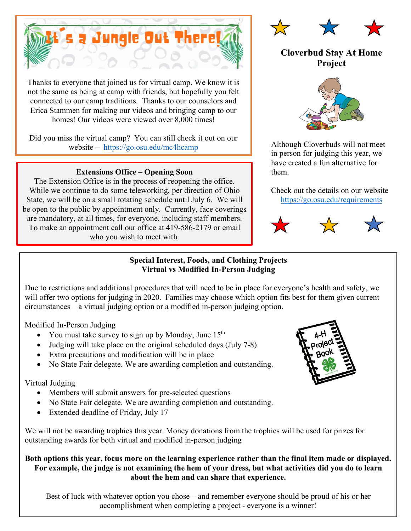

Thanks to everyone that joined us for virtual camp. We know it is not the same as being at camp with friends, but hopefully you felt connected to our camp traditions. Thanks to our counselors and Erica Stammen for making our videos and bringing camp to our homes! Our videos were viewed over 8,000 times!

Did you miss the virtual camp? You can still check it out on our website – <https://go.osu.edu/mc4hcamp>

#### **Extensions Office – Opening Soon**

The Extension Office is in the process of reopening the office. While we continue to do some teleworking, per direction of Ohio State, we will be on a small rotating schedule until July 6. We will be open to the public by appointment only. Currently, face coverings are mandatory, at all times, for everyone, including staff members. To make an appointment call our office at 419-586-2179 or email who you wish to meet with.



## **Cloverbud Stay At Home Project**



Although Cloverbuds will not meet in person for judging this year, we have created a fun alternative for them.

Check out the details on our website <https://go.osu.edu/requirements>





#### **Special Interest, Foods, and Clothing Projects Virtual vs Modified In-Person Judging**

Due to restrictions and additional procedures that will need to be in place for everyone's health and safety, we will offer two options for judging in 2020. Families may choose which option fits best for them given current circumstances – a virtual judging option or a modified in-person judging option.

Modified In-Person Judging

- You must take survey to sign up by Monday, June  $15<sup>th</sup>$
- Judging will take place on the original scheduled days (July 7-8)
- Extra precautions and modification will be in place
- No State Fair delegate. We are awarding completion and outstanding.

#### Virtual Judging

- Members will submit answers for pre-selected questions
- No State Fair delegate. We are awarding completion and outstanding.
- Extended deadline of Friday, July 17

We will not be awarding trophies this year. Money donations from the trophies will be used for prizes for outstanding awards for both virtual and modified in-person judging

#### **Both options this year, focus more on the learning experience rather than the final item made or displayed. For example, the judge is not examining the hem of your dress, but what activities did you do to learn about the hem and can share that experience.**

Best of luck with whatever option you chose – and remember everyone should be proud of his or her accomplishment when completing a project - everyone is a winner!